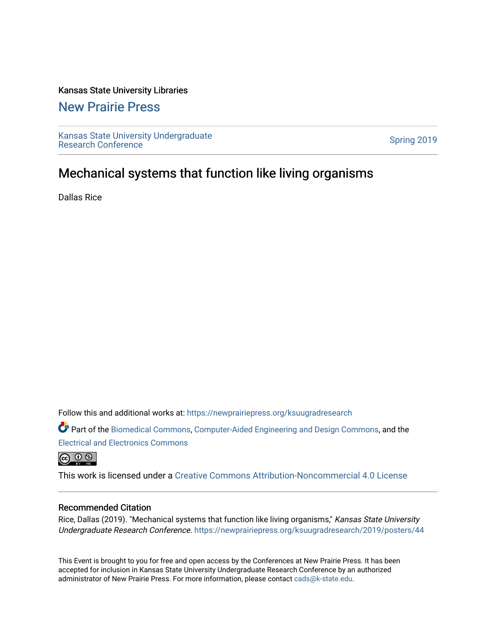### Kansas State University Libraries

### [New Prairie Press](https://newprairiepress.org/)

[Kansas State University Undergraduate](https://newprairiepress.org/ksuugradresearch)  Ransas State University Undergraduate<br>[Research Conference](https://newprairiepress.org/ksuugradresearch)

### Mechanical systems that function like living organisms

Dallas Rice

Follow this and additional works at: [https://newprairiepress.org/ksuugradresearch](https://newprairiepress.org/ksuugradresearch?utm_source=newprairiepress.org%2Fksuugradresearch%2F2019%2Fposters%2F44&utm_medium=PDF&utm_campaign=PDFCoverPages) 

Part of the [Biomedical Commons](http://network.bepress.com/hgg/discipline/267?utm_source=newprairiepress.org%2Fksuugradresearch%2F2019%2Fposters%2F44&utm_medium=PDF&utm_campaign=PDFCoverPages), [Computer-Aided Engineering and Design Commons,](http://network.bepress.com/hgg/discipline/297?utm_source=newprairiepress.org%2Fksuugradresearch%2F2019%2Fposters%2F44&utm_medium=PDF&utm_campaign=PDFCoverPages) and the [Electrical and Electronics Commons](http://network.bepress.com/hgg/discipline/270?utm_source=newprairiepress.org%2Fksuugradresearch%2F2019%2Fposters%2F44&utm_medium=PDF&utm_campaign=PDFCoverPages)

 $\circledcirc$ 

This work is licensed under a [Creative Commons Attribution-Noncommercial 4.0 License](https://creativecommons.org/licenses/by-nc/4.0/)

### Recommended Citation

Rice, Dallas (2019). "Mechanical systems that function like living organisms," Kansas State University Undergraduate Research Conference.<https://newprairiepress.org/ksuugradresearch/2019/posters/44>

This Event is brought to you for free and open access by the Conferences at New Prairie Press. It has been accepted for inclusion in Kansas State University Undergraduate Research Conference by an authorized administrator of New Prairie Press. For more information, please contact [cads@k-state.edu](mailto:cads@k-state.edu).